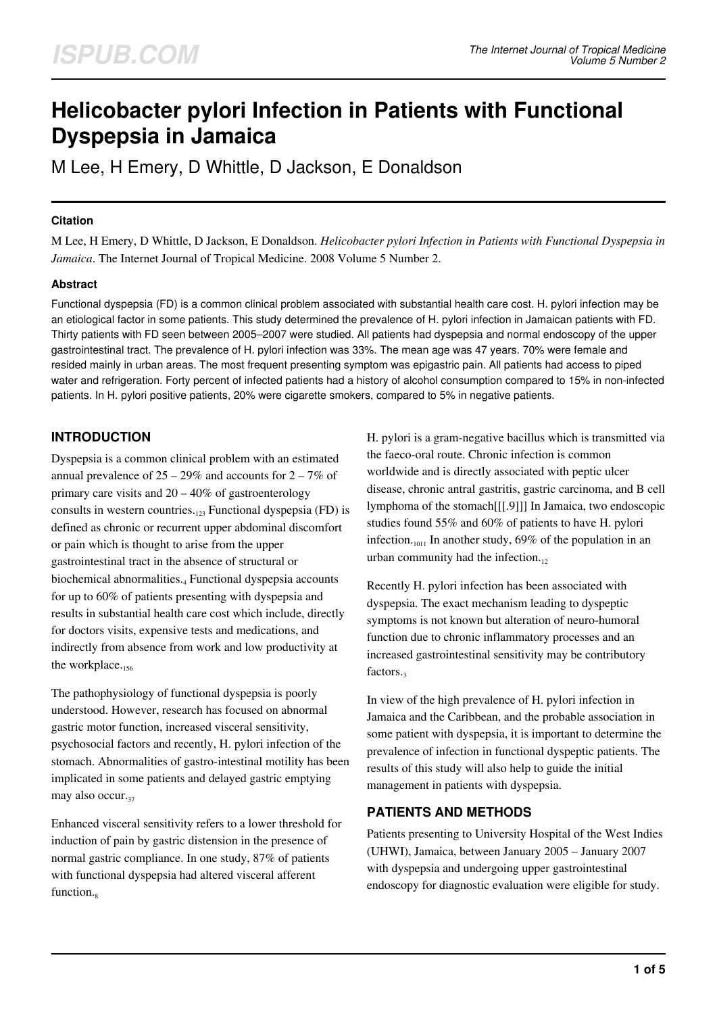# **Helicobacter pylori Infection in Patients with Functional Dyspepsia in Jamaica**

M Lee, H Emery, D Whittle, D Jackson, E Donaldson

#### **Citation**

M Lee, H Emery, D Whittle, D Jackson, E Donaldson. *Helicobacter pylori Infection in Patients with Functional Dyspepsia in Jamaica*. The Internet Journal of Tropical Medicine. 2008 Volume 5 Number 2.

#### **Abstract**

Functional dyspepsia (FD) is a common clinical problem associated with substantial health care cost. H. pylori infection may be an etiological factor in some patients. This study determined the prevalence of H. pylori infection in Jamaican patients with FD. Thirty patients with FD seen between 2005–2007 were studied. All patients had dyspepsia and normal endoscopy of the upper gastrointestinal tract. The prevalence of H. pylori infection was 33%. The mean age was 47 years. 70% were female and resided mainly in urban areas. The most frequent presenting symptom was epigastric pain. All patients had access to piped water and refrigeration. Forty percent of infected patients had a history of alcohol consumption compared to 15% in non-infected patients. In H. pylori positive patients, 20% were cigarette smokers, compared to 5% in negative patients.

# **INTRODUCTION**

Dyspepsia is a common clinical problem with an estimated annual prevalence of  $25 - 29\%$  and accounts for  $2 - 7\%$  of primary care visits and  $20 - 40\%$  of gastroenterology consults in western countries.<sub>123</sub> Functional dyspepsia (FD) is defined as chronic or recurrent upper abdominal discomfort or pain which is thought to arise from the upper gastrointestinal tract in the absence of structural or biochemical abnormalities.<sub>4</sub> Functional dyspepsia accounts for up to 60% of patients presenting with dyspepsia and results in substantial health care cost which include, directly for doctors visits, expensive tests and medications, and indirectly from absence from work and low productivity at the workplace. $_{156}$ 

The pathophysiology of functional dyspepsia is poorly understood. However, research has focused on abnormal gastric motor function, increased visceral sensitivity, psychosocial factors and recently, H. pylori infection of the stomach. Abnormalities of gastro-intestinal motility has been implicated in some patients and delayed gastric emptying may also occur. $37$ 

Enhanced visceral sensitivity refers to a lower threshold for induction of pain by gastric distension in the presence of normal gastric compliance. In one study, 87% of patients with functional dyspepsia had altered visceral afferent function.

H. pylori is a gram-negative bacillus which is transmitted via the faeco-oral route. Chronic infection is common worldwide and is directly associated with peptic ulcer disease, chronic antral gastritis, gastric carcinoma, and B cell lymphoma of the stomach[[[.9]]] In Jamaica, two endoscopic studies found 55% and 60% of patients to have H. pylori infection.<sub>1011</sub> In another study, 69% of the population in an urban community had the infection. $_{12}$ 

Recently H. pylori infection has been associated with dyspepsia. The exact mechanism leading to dyspeptic symptoms is not known but alteration of neuro-humoral function due to chronic inflammatory processes and an increased gastrointestinal sensitivity may be contributory factors.

In view of the high prevalence of H. pylori infection in Jamaica and the Caribbean, and the probable association in some patient with dyspepsia, it is important to determine the prevalence of infection in functional dyspeptic patients. The results of this study will also help to guide the initial management in patients with dyspepsia.

## **PATIENTS AND METHODS**

Patients presenting to University Hospital of the West Indies (UHWI), Jamaica, between January 2005 – January 2007 with dyspepsia and undergoing upper gastrointestinal endoscopy for diagnostic evaluation were eligible for study.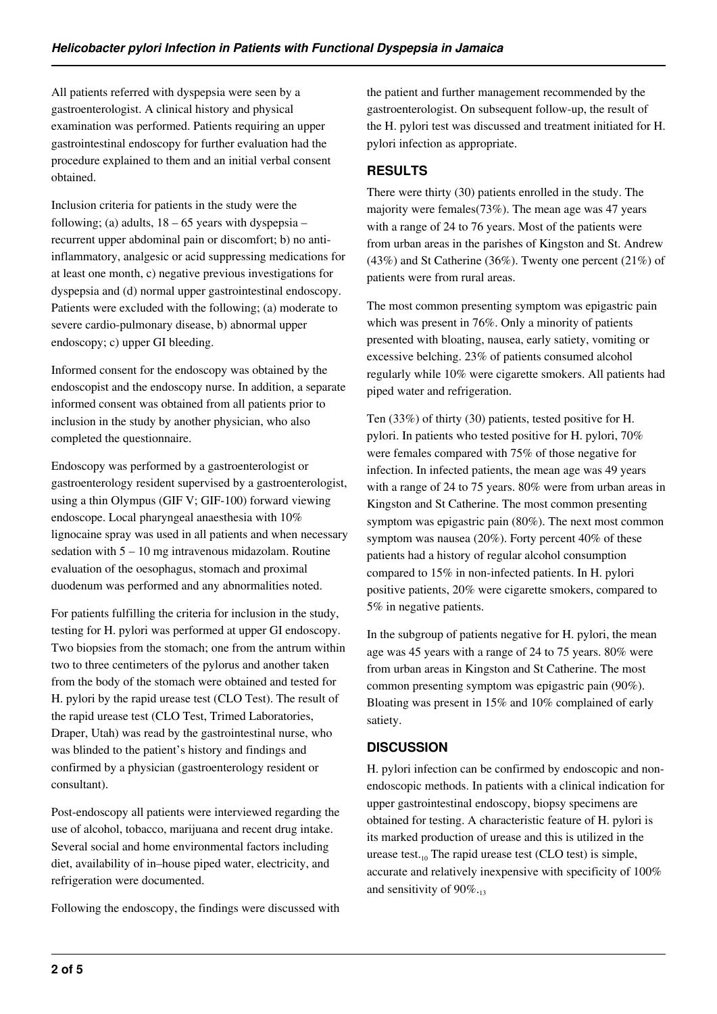All patients referred with dyspepsia were seen by a gastroenterologist. A clinical history and physical examination was performed. Patients requiring an upper gastrointestinal endoscopy for further evaluation had the procedure explained to them and an initial verbal consent obtained.

Inclusion criteria for patients in the study were the following; (a) adults,  $18 - 65$  years with dyspepsia – recurrent upper abdominal pain or discomfort; b) no antiinflammatory, analgesic or acid suppressing medications for at least one month, c) negative previous investigations for dyspepsia and (d) normal upper gastrointestinal endoscopy. Patients were excluded with the following; (a) moderate to severe cardio-pulmonary disease, b) abnormal upper endoscopy; c) upper GI bleeding.

Informed consent for the endoscopy was obtained by the endoscopist and the endoscopy nurse. In addition, a separate informed consent was obtained from all patients prior to inclusion in the study by another physician, who also completed the questionnaire.

Endoscopy was performed by a gastroenterologist or gastroenterology resident supervised by a gastroenterologist, using a thin Olympus (GIF V; GIF-100) forward viewing endoscope. Local pharyngeal anaesthesia with 10% lignocaine spray was used in all patients and when necessary sedation with 5 – 10 mg intravenous midazolam. Routine evaluation of the oesophagus, stomach and proximal duodenum was performed and any abnormalities noted.

For patients fulfilling the criteria for inclusion in the study, testing for H. pylori was performed at upper GI endoscopy. Two biopsies from the stomach; one from the antrum within two to three centimeters of the pylorus and another taken from the body of the stomach were obtained and tested for H. pylori by the rapid urease test (CLO Test). The result of the rapid urease test (CLO Test, Trimed Laboratories, Draper, Utah) was read by the gastrointestinal nurse, who was blinded to the patient's history and findings and confirmed by a physician (gastroenterology resident or consultant).

Post-endoscopy all patients were interviewed regarding the use of alcohol, tobacco, marijuana and recent drug intake. Several social and home environmental factors including diet, availability of in–house piped water, electricity, and refrigeration were documented.

Following the endoscopy, the findings were discussed with

the patient and further management recommended by the gastroenterologist. On subsequent follow-up, the result of the H. pylori test was discussed and treatment initiated for H. pylori infection as appropriate.

## **RESULTS**

There were thirty (30) patients enrolled in the study. The majority were females(73%). The mean age was 47 years with a range of 24 to 76 years. Most of the patients were from urban areas in the parishes of Kingston and St. Andrew (43%) and St Catherine (36%). Twenty one percent (21%) of patients were from rural areas.

The most common presenting symptom was epigastric pain which was present in 76%. Only a minority of patients presented with bloating, nausea, early satiety, vomiting or excessive belching. 23% of patients consumed alcohol regularly while 10% were cigarette smokers. All patients had piped water and refrigeration.

Ten (33%) of thirty (30) patients, tested positive for H. pylori. In patients who tested positive for H. pylori, 70% were females compared with 75% of those negative for infection. In infected patients, the mean age was 49 years with a range of 24 to 75 years. 80% were from urban areas in Kingston and St Catherine. The most common presenting symptom was epigastric pain (80%). The next most common symptom was nausea (20%). Forty percent 40% of these patients had a history of regular alcohol consumption compared to 15% in non-infected patients. In H. pylori positive patients, 20% were cigarette smokers, compared to 5% in negative patients.

In the subgroup of patients negative for H. pylori, the mean age was 45 years with a range of 24 to 75 years. 80% were from urban areas in Kingston and St Catherine. The most common presenting symptom was epigastric pain (90%). Bloating was present in 15% and 10% complained of early satiety.

# **DISCUSSION**

H. pylori infection can be confirmed by endoscopic and nonendoscopic methods. In patients with a clinical indication for upper gastrointestinal endoscopy, biopsy specimens are obtained for testing. A characteristic feature of H. pylori is its marked production of urease and this is utilized in the urease test. $_{10}$  The rapid urease test (CLO test) is simple, accurate and relatively inexpensive with specificity of 100% and sensitivity of  $90\%$ .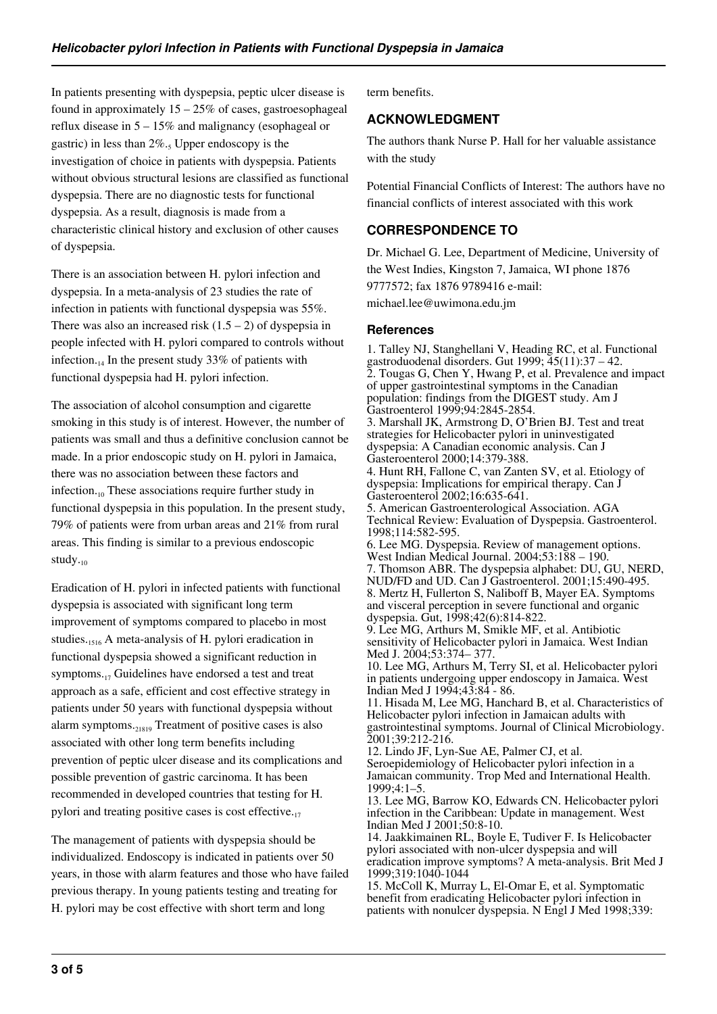In patients presenting with dyspepsia, peptic ulcer disease is found in approximately  $15 - 25\%$  of cases, gastroesophageal reflux disease in 5 – 15% and malignancy (esophageal or gastric) in less than  $2\%$ .<sub>5</sub> Upper endoscopy is the investigation of choice in patients with dyspepsia. Patients without obvious structural lesions are classified as functional dyspepsia. There are no diagnostic tests for functional dyspepsia. As a result, diagnosis is made from a characteristic clinical history and exclusion of other causes of dyspepsia.

There is an association between H. pylori infection and dyspepsia. In a meta-analysis of 23 studies the rate of infection in patients with functional dyspepsia was 55%. There was also an increased risk  $(1.5 – 2)$  of dyspepsia in people infected with H. pylori compared to controls without infection.<sub>14</sub> In the present study 33% of patients with functional dyspepsia had H. pylori infection.

The association of alcohol consumption and cigarette smoking in this study is of interest. However, the number of patients was small and thus a definitive conclusion cannot be made. In a prior endoscopic study on H. pylori in Jamaica, there was no association between these factors and infection. $\mathbf{u}_0$  These associations require further study in functional dyspepsia in this population. In the present study, 79% of patients were from urban areas and 21% from rural areas. This finding is similar to a previous endoscopic study. $_{10}$ 

Eradication of H. pylori in infected patients with functional dyspepsia is associated with significant long term improvement of symptoms compared to placebo in most studies.1516 A meta-analysis of H. pylori eradication in functional dyspepsia showed a significant reduction in symptoms.17 Guidelines have endorsed a test and treat approach as a safe, efficient and cost effective strategy in patients under 50 years with functional dyspepsia without alarm symptoms. $_{21819}$  Treatment of positive cases is also associated with other long term benefits including prevention of peptic ulcer disease and its complications and possible prevention of gastric carcinoma. It has been recommended in developed countries that testing for H. pylori and treating positive cases is cost effective.<sub>17</sub>

The management of patients with dyspepsia should be individualized. Endoscopy is indicated in patients over 50 years, in those with alarm features and those who have failed previous therapy. In young patients testing and treating for H. pylori may be cost effective with short term and long

term benefits.

### **ACKNOWLEDGMENT**

The authors thank Nurse P. Hall for her valuable assistance with the study

Potential Financial Conflicts of Interest: The authors have no financial conflicts of interest associated with this work

## **CORRESPONDENCE TO**

Dr. Michael G. Lee, Department of Medicine, University of the West Indies, Kingston 7, Jamaica, WI phone 1876 9777572; fax 1876 9789416 e-mail: michael.lee@uwimona.edu.jm

#### **References**

1. Talley NJ, Stanghellani V, Heading RC, et al. Functional gastroduodenal disorders. Gut 1999; 45(11):37 – 42. 2. Tougas G, Chen Y, Hwang P, et al. Prevalence and impact of upper gastrointestinal symptoms in the Canadian population: findings from the DIGEST study. Am J Gastroenterol 1999;94:2845-2854. 3. Marshall JK, Armstrong D, O'Brien BJ. Test and treat strategies for Helicobacter pylori in uninvestigated dyspepsia: A Canadian economic analysis. Can J Gasteroenterol 2000;14:379-388. 4. Hunt RH, Fallone C, van Zanten SV, et al. Etiology of dyspepsia: Implications for empirical therapy. Can  $\overline{J}$ Gasteroenterol 2002;16:635-641. 5. American Gastroenterological Association. AGA Technical Review: Evaluation of Dyspepsia. Gastroenterol. 1998;114:582-595. 6. Lee MG. Dyspepsia. Review of management options. West Indian Medical Journal. 2004;53:188 – 190. 7. Thomson ABR. The dyspepsia alphabet: DU, GU, NERD, NUD/FD and UD. Can J Gastroenterol. 2001;15:490-495. 8. Mertz H, Fullerton S, Naliboff B, Mayer EA. Symptoms and visceral perception in severe functional and organic dyspepsia. Gut, 1998;42(6):814-822. 9. Lee MG, Arthurs M, Smikle MF, et al. Antibiotic sensitivity of Helicobacter pylori in Jamaica. West Indian Med J. 2004;53:374– 377. 10. Lee MG, Arthurs M, Terry SI, et al. Helicobacter pylori in patients undergoing upper endoscopy in Jamaica. West Indian Med J 1994;43:84 - 86. 11. Hisada M, Lee MG, Hanchard B, et al. Characteristics of Helicobacter pylori infection in Jamaican adults with gastrointestinal symptoms. Journal of Clinical Microbiology. 2001;39:212-216. 12. Lindo JF, Lyn-Sue AE, Palmer CJ, et al. Seroepidemiology of Helicobacter pylori infection in a Jamaican community. Trop Med and International Health. 1999;4:1–5. 13. Lee MG, Barrow KO, Edwards CN. Helicobacter pylori infection in the Caribbean: Update in management. West Indian Med J 2001;50:8-10. 14. Jaakkimainen RL, Boyle E, Tudiver F. Is Helicobacter pylori associated with non-ulcer dyspepsia and will eradication improve symptoms? A meta-analysis. Brit Med J 1999;319:1040-1044

15. McColl K, Murray L, El-Omar E, et al. Symptomatic benefit from eradicating Helicobacter pylori infection in patients with nonulcer dyspepsia. N Engl J Med 1998;339: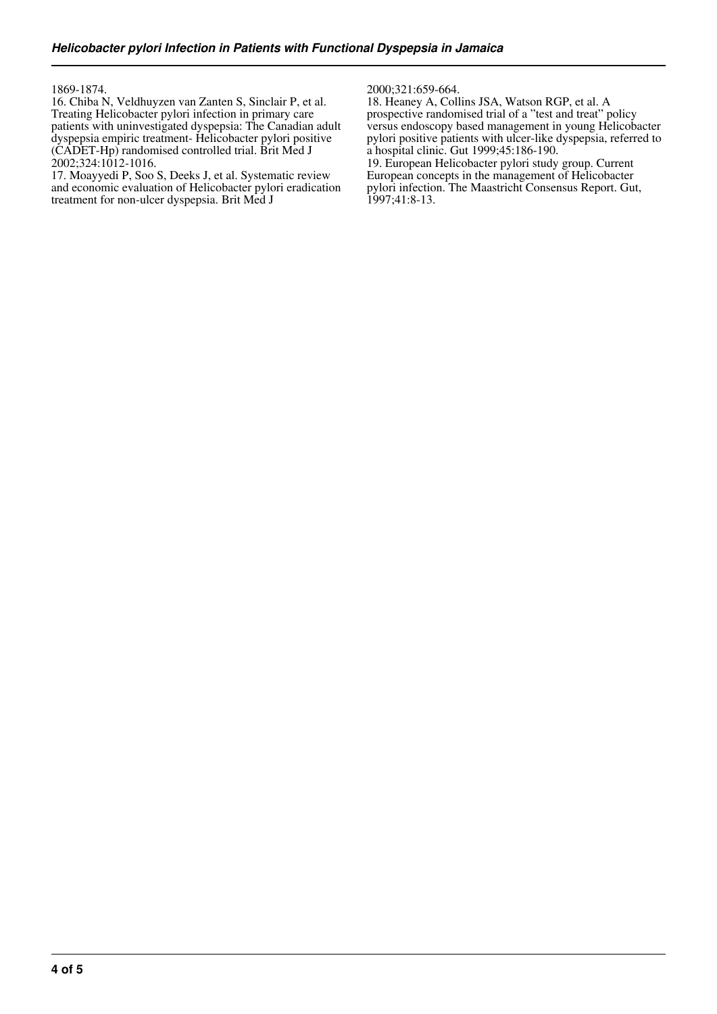1869-1874.

16. Chiba N, Veldhuyzen van Zanten S, Sinclair P, et al. Treating Helicobacter pylori infection in primary care patients with uninvestigated dyspepsia: The Canadian adult dyspepsia empiric treatment- Helicobacter pylori positive (CADET-Hp) randomised controlled trial. Brit Med J 2002;324:1012-1016.

17. Moayyedi P, Soo S, Deeks J, et al. Systematic review and economic evaluation of Helicobacter pylori eradication treatment for non-ulcer dyspepsia. Brit Med J

2000;321:659-664.

18. Heaney A, Collins JSA, Watson RGP, et al. A prospective randomised trial of a "test and treat" policy versus endoscopy based management in young Helicobacter pylori positive patients with ulcer-like dyspepsia, referred to a hospital clinic. Gut 1999;45:186-190.

19. European Helicobacter pylori study group. Current European concepts in the management of Helicobacter pylori infection. The Maastricht Consensus Report. Gut, 1997;41:8-13.